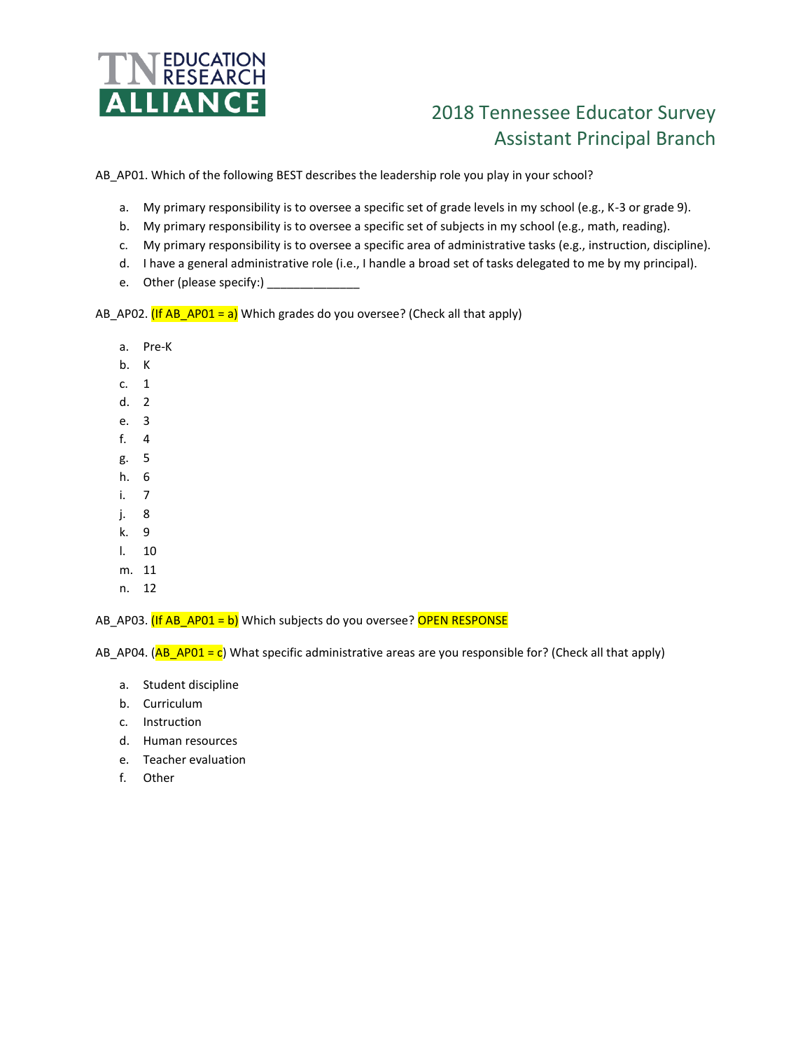

## 2018 Tennessee Educator Survey Assistant Principal Branch

AB\_AP01. Which of the following BEST describes the leadership role you play in your school?

- a. My primary responsibility is to oversee a specific set of grade levels in my school (e.g., K-3 or grade 9).
- b. My primary responsibility is to oversee a specific set of subjects in my school (e.g., math, reading).
- c. My primary responsibility is to oversee a specific area of administrative tasks (e.g., instruction, discipline).
- d. I have a general administrative role (i.e., I handle a broad set of tasks delegated to me by my principal).
- e. Other (please specify:)

AB\_AP02.  $($ If AB\_AP01 = a)</sub> Which grades do you oversee? (Check all that apply)

- a. Pre-K
- b. K
- c. 1
- d. 2
- e. 3
- f. 4
- g. 5
- h. 6
- i. 7
- j. 8
- k. 9
- l. 10
- m. 11
- n. 12

AB\_AP03. (If AB\_AP01 = b) Which subjects do you oversee? OPEN RESPONSE

AB\_AP04. (AB\_AP01 = c) What specific administrative areas are you responsible for? (Check all that apply)

- a. Student discipline
- b. Curriculum
- c. Instruction
- d. Human resources
- e. Teacher evaluation
- f. Other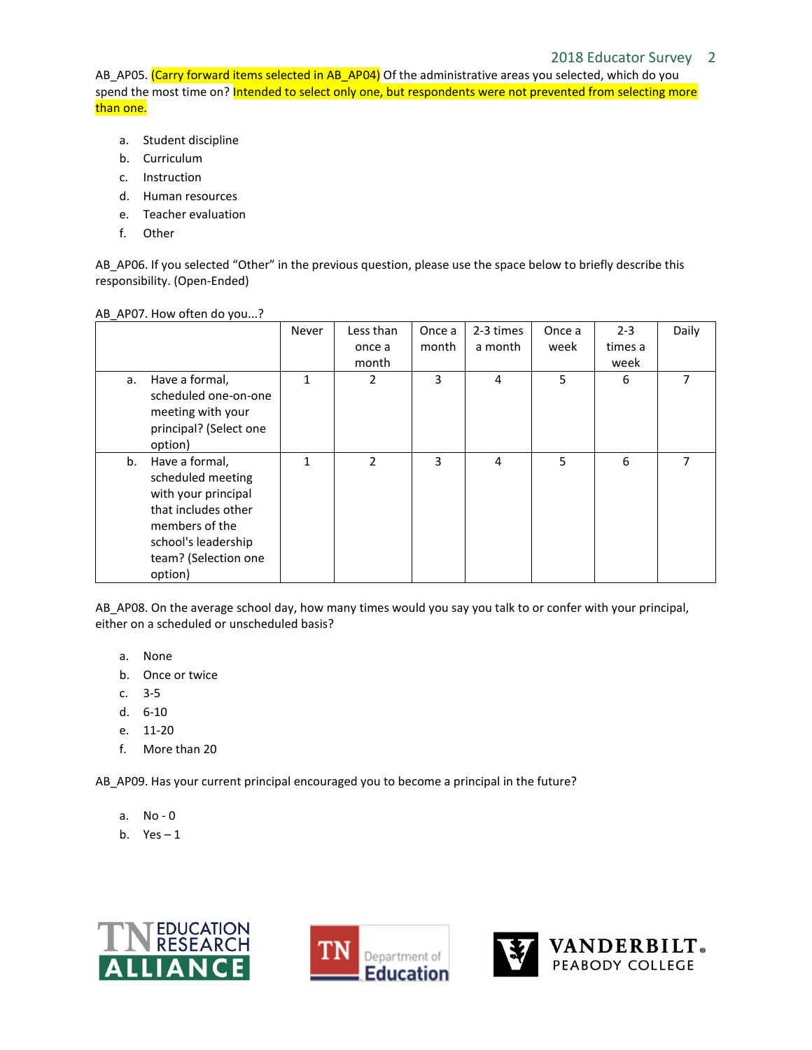## 2018 Educator Survey 2

AB\_AP05. (Carry forward items selected in AB\_AP04) Of the administrative areas you selected, which do you spend the most time on? Intended to select only one, but respondents were not prevented from selecting more than one.

- a. Student discipline
- b. Curriculum
- c. Instruction
- d. Human resources
- e. Teacher evaluation
- f. Other

AB\_AP06. If you selected "Other" in the previous question, please use the space below to briefly describe this responsibility. (Open-Ended)

| AB_AP07. How often do you? |  |
|----------------------------|--|
|----------------------------|--|

|    |                                                                                                                                                               | Never | Less than<br>once a | Once a<br>month | 2-3 times<br>a month | Once a<br>week | $2 - 3$<br>times a | Daily |
|----|---------------------------------------------------------------------------------------------------------------------------------------------------------------|-------|---------------------|-----------------|----------------------|----------------|--------------------|-------|
|    |                                                                                                                                                               |       | month               |                 |                      |                | week               |       |
| a. | Have a formal,<br>scheduled one-on-one<br>meeting with your<br>principal? (Select one<br>option)                                                              | 1     | $\overline{2}$      | 3               | 4                    | 5              | 6                  | 7     |
| b. | Have a formal,<br>scheduled meeting<br>with your principal<br>that includes other<br>members of the<br>school's leadership<br>team? (Selection one<br>option) | 1     | 2                   | 3               | 4                    | 5              | 6                  |       |

AB AP08. On the average school day, how many times would you say you talk to or confer with your principal, either on a scheduled or unscheduled basis?

- a. None
- b. Once or twice
- c. 3-5
- d. 6-10
- e. 11-20
- f. More than 20

AB\_AP09. Has your current principal encouraged you to become a principal in the future?

- a. No 0
- b.  $Yes-1$